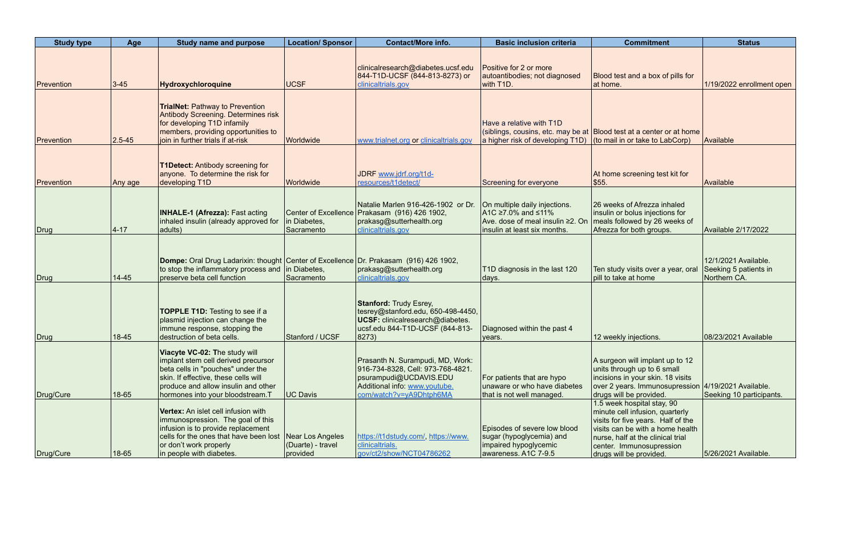| <b>Study type</b> | Age        | <b>Study name and purpose</b>                                                                                                                                                                                                | <b>Location/ Sponsor</b>                                  | <b>Contact/More info.</b>                                                                                                                                   | <b>Basic inclusion criteria</b>                                                                                              | <b>Commitment</b>                                                                                                                                                                                                                   | <b>Status</b>                                                 |
|-------------------|------------|------------------------------------------------------------------------------------------------------------------------------------------------------------------------------------------------------------------------------|-----------------------------------------------------------|-------------------------------------------------------------------------------------------------------------------------------------------------------------|------------------------------------------------------------------------------------------------------------------------------|-------------------------------------------------------------------------------------------------------------------------------------------------------------------------------------------------------------------------------------|---------------------------------------------------------------|
| Prevention        | $3 - 45$   | Hydroxychloroquine                                                                                                                                                                                                           | <b>UCSF</b>                                               | clinicalresearch@diabetes.ucsf.edu<br>844-T1D-UCSF (844-813-8273) or<br>clinicaltrials.gov                                                                  | Positive for 2 or more<br>autoantibodies; not diagnosed<br>with T <sub>1</sub> D.                                            | Blood test and a box of pills for<br>at home.                                                                                                                                                                                       | 1/19/2022 enrollment open                                     |
| Prevention        | $2.5 - 45$ | <b>TrialNet: Pathway to Prevention</b><br>Antibody Screening. Determines risk<br>for developing T1D infamily<br>members, providing opportunities to<br>join in further trials if at-risk                                     | Worldwide                                                 | www.trialnet.org or clinicaltrials.gov                                                                                                                      | Have a relative with T1D<br>a higher risk of developing $T1D$ (to mail in or take to LabCorp)                                | (siblings, cousins, etc. may be at Blood test at a center or at home                                                                                                                                                                | Available                                                     |
| Prevention        | Any age    | <b>T1Detect: Antibody screening for</b><br>anyone. To determine the risk for<br>developing T1D                                                                                                                               | Worldwide                                                 | JDRF www.jdrf.org/t1d-<br>resources/t1detect/                                                                                                               | Screening for everyone                                                                                                       | At home screening test kit for<br>\$55.                                                                                                                                                                                             | Available                                                     |
| Drug              | $ 4 - 17 $ | <b>INHALE-1 (Afrezza): Fast acting</b><br>inhaled insulin (already approved for<br>adults)                                                                                                                                   | <b>Center of Excellence</b><br>in Diabetes,<br>Sacramento | Natalie Marlen 916-426-1902 or Dr.<br>Prakasam (916) 426 1902,<br>prakasg@sutterhealth.org<br>clinicaltrials.gov                                            | On multiple daily injections.<br>$AC \ge 7.0\%$ and ≤11%<br>Ave. dose of meal insulin ≥2. On<br>insulin at least six months. | 26 weeks of Afrezza inhaled<br>insulin or bolus injections for<br>meals followed by 26 weeks of<br>Afrezza for both groups.                                                                                                         | Available 2/17/2022                                           |
| Drug              | $14 - 45$  | Dompe: Oral Drug Ladarixin: thought Center of Excellence Dr. Prakasam (916) 426 1902,<br>to stop the inflammatory process and in Diabetes,<br>preserve beta cell function                                                    | Sacramento                                                | prakasg@sutterhealth.org<br>clinicaltrials.gov                                                                                                              | T1D diagnosis in the last 120<br>days.                                                                                       | Ten study visits over a year, oral<br>pill to take at home                                                                                                                                                                          | 12/1/2021 Available.<br>Seeking 5 patients in<br>Northern CA. |
| Drug              | 18-45      | <b>TOPPLE T1D:</b> Testing to see if a<br>plasmid injection can change the<br>immune response, stopping the<br>destruction of beta cells.                                                                                    | Stanford / UCSF                                           | <b>Stanford: Trudy Esrey,</b><br>tesrey@stanford.edu, 650-498-4450,<br>UCSF: clinicalresearch@diabetes.<br>ucsf.edu 844-T1D-UCSF (844-813-<br>8273)         | Diagnosed within the past 4<br>years.                                                                                        | 12 weekly injections.                                                                                                                                                                                                               | 08/23/2021 Available                                          |
| Drug/Cure         | 18-65      | Viacyte VC-02: The study will<br>implant stem cell derived precursor<br>beta cells in "pouches" under the<br>skin. If effective, these cells will<br>produce and allow insulin and other<br>hormones into your bloodstream.T | UC Davis                                                  | Prasanth N. Surampudi, MD, Work:<br>916-734-8328, Cell: 973-768-4821.<br>psurampudi@UCDAVIS.EDU<br>Additional info: www.youtube.<br>com/watch?v=yA9Dhtph6MA | For patients that are hypo<br>unaware or who have diabetes<br>that is not well managed.                                      | A surgeon will implant up to 12<br>units through up to 6 small<br>incisions in your skin. 18 visits<br>over 2 years. Immunosupression 4/19/2021 Available.<br>drugs will be provided.                                               | Seeking 10 participants.                                      |
| Drug/Cure         | 18-65      | Vertex: An islet cell infusion with<br>immunospression. The goal of this<br>infusion is to provide replacement<br>cells for the ones that have been lost<br>or don't work properly<br>in people with diabetes.               | Near Los Angeles<br>(Duarte) - travel<br>provided         | https://t1dstudy.com/, https://www.<br>clinicaltrials.<br>gov/ct2/show/NCT04786262                                                                          | Episodes of severe low blood<br>sugar (hypoglycemia) and<br>impaired hypoglycemic<br>awareness. A1C 7-9.5                    | 1.5 week hospital stay, 90<br>minute cell infusion, quarterly<br>visits for five years. Half of the<br>visits can be with a home health<br>nurse, half at the clinical trial<br>center. Immunosupression<br>drugs will be provided. | 5/26/2021 Available.                                          |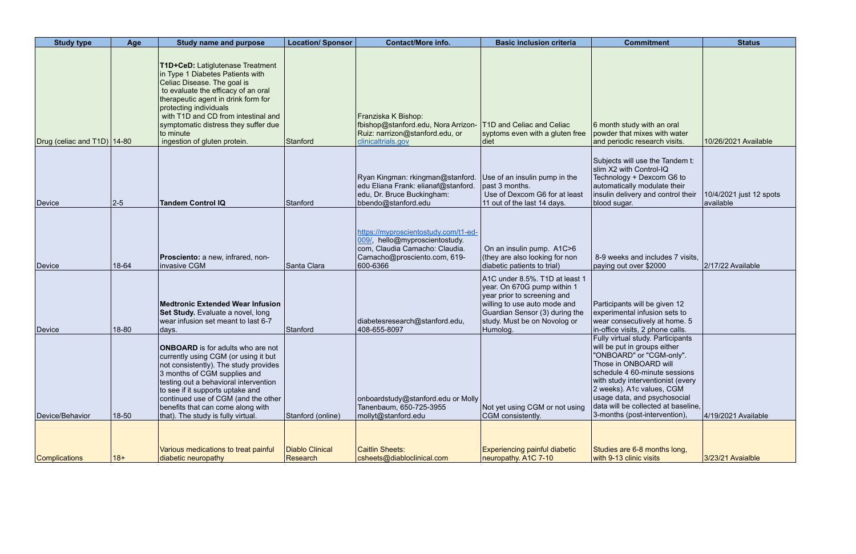| <b>Study type</b>             | Age       | <b>Study name and purpose</b>                                                                                                                                                                                                                                                                                                                            | <b>Location/ Sponsor</b>    | <b>Contact/More info.</b>                                                                                                                            | <b>Basic inclusion criteria</b>                                                                                                                                                                            | <b>Commitment</b>                                                                                                                                                                                                                                                                                                                 | <b>Status</b>                        |
|-------------------------------|-----------|----------------------------------------------------------------------------------------------------------------------------------------------------------------------------------------------------------------------------------------------------------------------------------------------------------------------------------------------------------|-----------------------------|------------------------------------------------------------------------------------------------------------------------------------------------------|------------------------------------------------------------------------------------------------------------------------------------------------------------------------------------------------------------|-----------------------------------------------------------------------------------------------------------------------------------------------------------------------------------------------------------------------------------------------------------------------------------------------------------------------------------|--------------------------------------|
| Drug (celiac and T1D)   14-80 |           | T1D+CeD: Latiglutenase Treatment<br>in Type 1 Diabetes Patients with<br>Celiac Disease. The goal is<br>to evaluate the efficacy of an oral<br>therapeutic agent in drink form for<br>protecting individuals<br>with T1D and CD from intestinal and<br>symptomatic distress they suffer due<br>to minute<br>ingestion of gluten protein.                  | Stanford                    | Franziska K Bishop:<br>fbishop@stanford.edu, Nora Arrizon-<br>Ruiz: narrizon@stanford.edu, or<br>clinicaltrials.gov                                  | <b>T1D and Celiac and Celiac</b><br>syptoms even with a gluten free<br> diet                                                                                                                               | 6 month study with an oral<br>powder that mixes with water<br>and periodic research visits.                                                                                                                                                                                                                                       | 10/26/2021 Available                 |
| Device                        | $ 2 - 5 $ | <b>Tandem Control IQ</b>                                                                                                                                                                                                                                                                                                                                 | Stanford                    | Ryan Kingman: rkingman@stanford.<br>edu Eliana Frank: elianaf@stanford.<br>edu, Dr. Bruce Buckingham:<br>bbendo@stanford.edu                         | Use of an insulin pump in the<br>past 3 months.<br>Use of Dexcom G6 for at least<br>11 out of the last 14 days.                                                                                            | Subjects will use the Tandem t:<br>slim X2 with Control-IQ<br>Technology + Dexcom G6 to<br>automatically modulate their<br>insulin delivery and control their<br>blood sugar.                                                                                                                                                     | 10/4/2021 just 12 spots<br>available |
| Device                        | 18-64     | Prosciento: a new, infrared, non-<br>invasive CGM                                                                                                                                                                                                                                                                                                        | Santa Clara                 | https://myproscientostudy.com/t1-ed-<br>009/, hello@myproscientostudy.<br>com, Claudia Camacho: Claudia.<br>Camacho@prosciento.com, 619-<br>600-6366 | On an insulin pump. A1C>6<br>(they are also looking for non<br>diabetic patients to trial)                                                                                                                 | 8-9 weeks and includes 7 visits,<br>paying out over \$2000                                                                                                                                                                                                                                                                        | 2/17/22 Available                    |
| Device                        | 18-80     | Medtronic Extended Wear Infusion<br>Set Study. Evaluate a novel, long<br>wear infusion set meant to last 6-7<br>days.                                                                                                                                                                                                                                    | Stanford                    | diabetesresearch@stanford.edu,<br>408-655-8097                                                                                                       | A1C under 8.5%. T1D at least 1<br>year. On 670G pump within 1<br>year prior to screening and<br>willing to use auto mode and<br>Guardian Sensor (3) during the<br>study. Must be on Novolog or<br>Humolog. | Participants will be given 12<br>experimental infusion sets to<br>wear consecutively at home. 5<br>in-office visits, 2 phone calls.                                                                                                                                                                                               |                                      |
| Device/Behavior               | 18-50     | <b>ONBOARD</b> is for adults who are not<br>currently using CGM (or using it but<br>not consistently). The study provides<br>3 months of CGM supplies and<br>testing out a behavioral intervention<br>to see if it supports uptake and<br>continued use of CGM (and the other<br>benefits that can come along with<br>that). The study is fully virtual. | Stanford (online)           | onboardstudy@stanford.edu or Molly<br>Tanenbaum, 650-725-3955<br>mollyt@stanford.edu                                                                 | Not yet using CGM or not using<br>CGM consistently.                                                                                                                                                        | Fully virtual study. Participants<br>will be put in groups either<br>"ONBOARD" or "CGM-only".<br>Those in ONBOARD will<br>schedule 4 60-minute sessions<br>with study interventionist (every<br>2 weeks). A1c values, CGM<br>usage data, and psychosocial<br>data will be collected at baseline,<br>3-months (post-intervention), | 4/19/2021 Available                  |
|                               |           |                                                                                                                                                                                                                                                                                                                                                          |                             |                                                                                                                                                      |                                                                                                                                                                                                            |                                                                                                                                                                                                                                                                                                                                   |                                      |
| <b>Complications</b>          | $18+$     | Various medications to treat painful<br>diabetic neuropathy                                                                                                                                                                                                                                                                                              | Diablo Clinical<br>Research | Caitlin Sheets:<br>csheets@diabloclinical.com                                                                                                        | <b>Experiencing painful diabetic</b><br>neuropathy. A1C 7-10                                                                                                                                               | Studies are 6-8 months long,<br>with 9-13 clinic visits                                                                                                                                                                                                                                                                           | 3/23/21 Avaialble                    |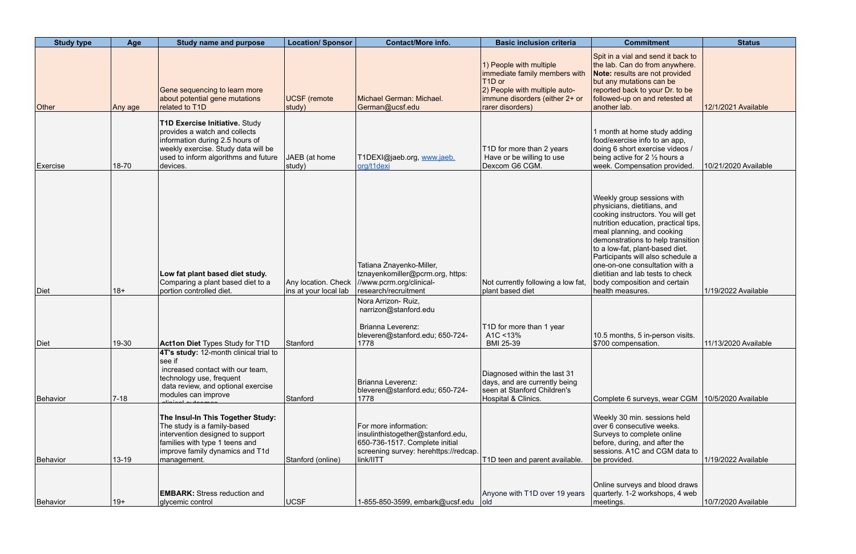| <b>Study type</b> | Age       | <b>Study name and purpose</b>                                                                                                                                                                     | <b>Location/ Sponsor</b>                     | <b>Contact/More info.</b>                                                                                                                          | <b>Basic inclusion criteria</b>                                                                                                                                        | <b>Commitment</b>                                                                                                                                                                                                                                                                                                                                                                                           | <b>Status</b>        |
|-------------------|-----------|---------------------------------------------------------------------------------------------------------------------------------------------------------------------------------------------------|----------------------------------------------|----------------------------------------------------------------------------------------------------------------------------------------------------|------------------------------------------------------------------------------------------------------------------------------------------------------------------------|-------------------------------------------------------------------------------------------------------------------------------------------------------------------------------------------------------------------------------------------------------------------------------------------------------------------------------------------------------------------------------------------------------------|----------------------|
| <b>Other</b>      | Any age   | Gene sequencing to learn more<br>about potential gene mutations<br>related to T1D                                                                                                                 | <b>UCSF</b> (remote<br>study)                | Michael German: Michael.<br>German@ucsf.edu                                                                                                        | 1) People with multiple<br>immediate family members with<br>T <sub>1</sub> D or<br>2) People with multiple auto-<br>immune disorders (either 2+ or<br>rarer disorders) | Spit in a vial and send it back to<br>the lab. Can do from anywhere.<br>Note: results are not provided<br>but any mutations can be<br>reported back to your Dr. to be<br>followed-up on and retested at<br>another lab.                                                                                                                                                                                     | 12/1/2021 Available  |
| Exercise          | 18-70     | T1D Exercise Initiative. Study<br>provides a watch and collects<br>information during 2.5 hours of<br>weekly exercise. Study data will be<br>used to inform algorithms and future<br>devices.     | JAEB (at home<br>study)                      | T1DEXI@jaeb.org, www.jaeb.<br>org/t1dexi                                                                                                           | T1D for more than 2 years<br>Have or be willing to use<br>Dexcom G6 CGM.                                                                                               | 1 month at home study adding<br>food/exercise info to an app,<br>doing 6 short exercise videos /<br>being active for 2 1/2 hours a<br>week. Compensation provided.                                                                                                                                                                                                                                          | 10/21/2020 Available |
| Diet              | $18+$     | Low fat plant based diet study.<br>Comparing a plant based diet to a<br>portion controlled diet.                                                                                                  | Any location. Check<br>ins at your local lab | Tatiana Znayenko-Miller,<br>tznayenkomiller@pcrm.org, https:<br>//www.pcrm.org/clinical-<br>research/recruitment                                   | Not currently following a low fat,<br>plant based diet                                                                                                                 | Weekly group sessions with<br>physicians, dietitians, and<br>cooking instructors. You will get<br>nutrition education, practical tips,<br>meal planning, and cooking<br>demonstrations to help transition<br>to a low-fat, plant-based diet.<br>Participants will also schedule a<br>one-on-one consultation with a<br>dietitian and lab tests to check<br>body composition and certain<br>health measures. | 1/19/2022 Available  |
| Diet              | 19-30     | <b>Act1on Diet Types Study for T1D</b>                                                                                                                                                            | Stanford                                     | Nora Arrizon- Ruiz,<br>narrizon@stanford.edu<br>Brianna Leverenz:<br>bleveren@stanford.edu; 650-724-<br>1778                                       | T1D for more than 1 year<br>A1C <13%<br><b>BMI 25-39</b>                                                                                                               | 10.5 months, 5 in-person visits.<br>\$700 compensation.                                                                                                                                                                                                                                                                                                                                                     | 11/13/2020 Available |
| Behavior          | $7 - 18$  | 4T's study: 12-month clinical trial to<br>see if<br>increased contact with our team,<br>technology use, frequent<br>data review, and optional exercise<br>modules can improve<br>diniaal outaamaa | Stanford                                     | Brianna Leverenz:<br>bleveren@stanford.edu; 650-724-<br>1778                                                                                       | Diagnosed within the last 31<br>days, and are currently being<br>seen at Stanford Children's<br>Hospital & Clinics.                                                    | Complete 6 surveys, wear CGM   10/5/2020 Available                                                                                                                                                                                                                                                                                                                                                          |                      |
| Behavior          | $13 - 19$ | The Insul-In This Together Study:<br>The study is a family-based<br>intervention designed to support<br>families with type 1 teens and<br>improve family dynamics and T1d<br>management.          | Stanford (online)                            | For more information:<br>insulinthistogether@stanford.edu,<br>650-736-1517. Complete initial<br>screening survey: herehttps://redcap.<br>link/IITT | T1D teen and parent available.                                                                                                                                         | Weekly 30 min. sessions held<br>over 6 consecutive weeks.<br>Surveys to complete online<br>before, during, and after the<br>sessions. A1C and CGM data to<br>be provided.                                                                                                                                                                                                                                   | 1/19/2022 Available  |
| Behavior          | $19+$     | <b>EMBARK:</b> Stress reduction and<br>glycemic control                                                                                                                                           | UCSF                                         | 1-855-850-3599, embark@ucsf.edu   old                                                                                                              | Anyone with T1D over 19 years                                                                                                                                          | Online surveys and blood draws<br>quarterly. 1-2 workshops, 4 web<br>meetings.                                                                                                                                                                                                                                                                                                                              | 10/7/2020 Available  |